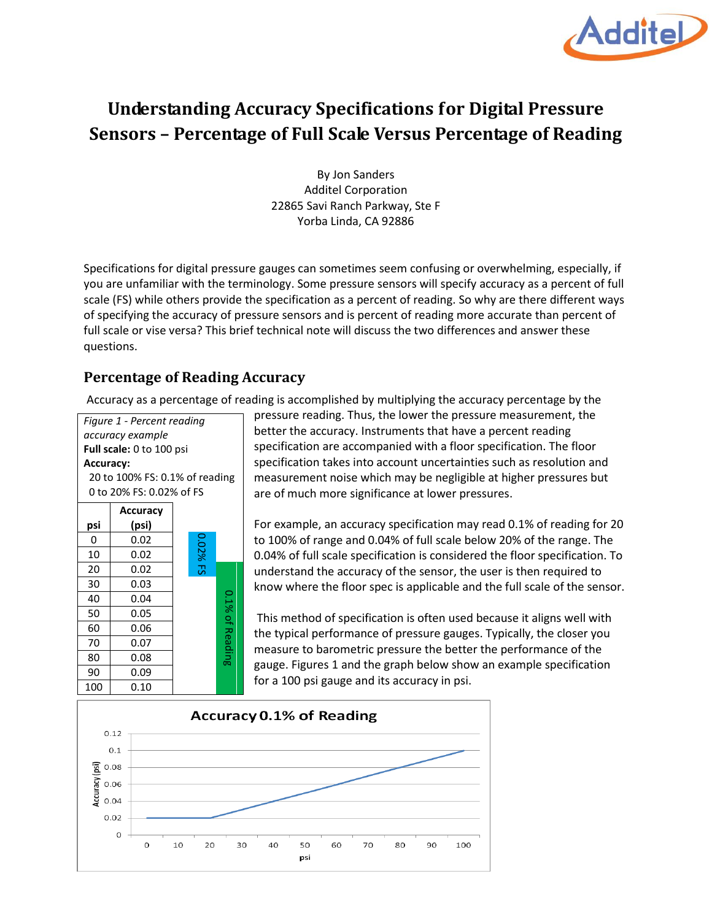

## **Understanding Accuracy Specifications for Digital Pressure Sensors – Percentage of Full Scale Versus Percentage of Reading**

By Jon Sanders Additel Corporation 22865 Savi Ranch Parkway, Ste F Yorba Linda, CA 92886

Specifications for digital pressure gauges can sometimes seem confusing or overwhelming, especially, if you are unfamiliar with the terminology. Some pressure sensors will specify accuracy as a percent of full scale (FS) while others provide the specification as a percent of reading. So why are there different ways of specifying the accuracy of pressure sensors and is percent of reading more accurate than percent of full scale or vise versa? This brief technical note will discuss the two differences and answer these questions.

## **Percentage of Reading Accuracy**

Accuracy as a percentage of reading is accomplished by multiplying the accuracy percentage by the

*Figure 1 - Percent reading accuracy example* **Full scale:** 0 to 100 psi **Accuracy:** 20 to 100% FS: 0.1% of reading 0 to 20% FS: 0.02% of FS **Accuracy psi (psi)**  $0 \mid 0.02$ 0.02% FS O2% FS 10 0.02 20 0.02 30 0.03 0.1% of Reading 0.1% of Reading 40 0.04 50 0.05 60 0.06 70 0.07 80 0.08 90 0.09

pressure reading. Thus, the lower the pressure measurement, the better the accuracy. Instruments that have a percent reading specification are accompanied with a floor specification. The floor specification takes into account uncertainties such as resolution and measurement noise which may be negligible at higher pressures but are of much more significance at lower pressures.

For example, an accuracy specification may read 0.1% of reading for 20 to 100% of range and 0.04% of full scale below 20% of the range. The 0.04% of full scale specification is considered the floor specification. To understand the accuracy of the sensor, the user is then required to know where the floor spec is applicable and the full scale of the sensor.

This method of specification is often used because it aligns well with the typical performance of pressure gauges. Typically, the closer you measure to barometric pressure the better the performance of the gauge. Figures 1 and the graph below show an example specification for a 100 psi gauge and its accuracy in psi.